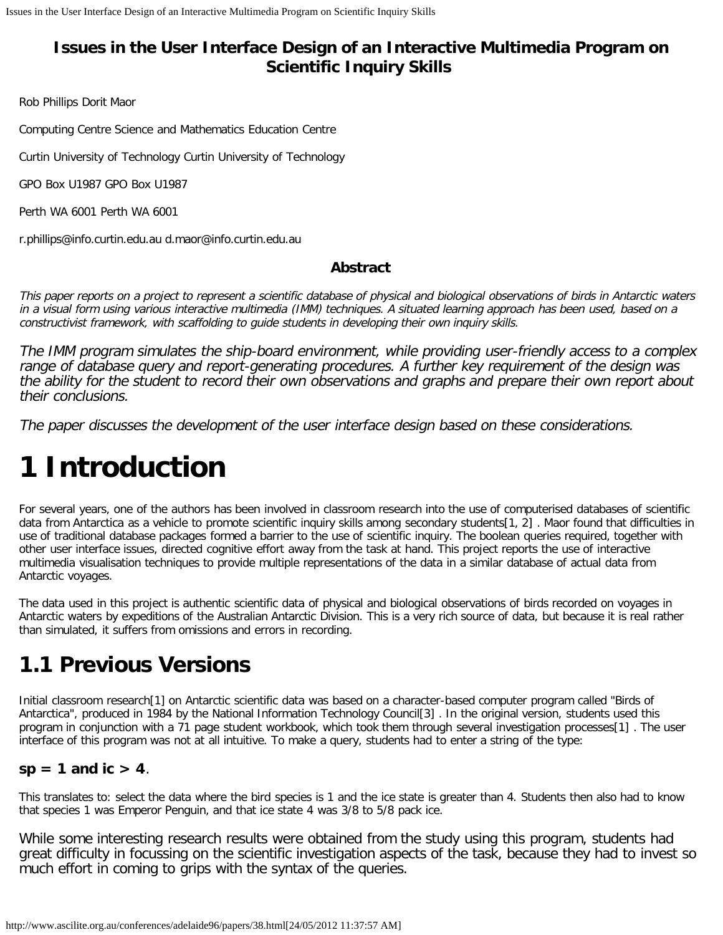#### **Issues in the User Interface Design of an Interactive Multimedia Program on Scientific Inquiry Skills**

Rob Phillips Dorit Maor

Computing Centre Science and Mathematics Education Centre

Curtin University of Technology Curtin University of Technology

GPO Box U1987 GPO Box U1987

Perth WA 6001 Perth WA 6001

r.phillips@info.curtin.edu.au d.maor@info.curtin.edu.au

#### **Abstract**

This paper reports on a project to represent a scientific database of physical and biological observations of birds in Antarctic waters in a visual form using various interactive multimedia (IMM) techniques. A situated learning approach has been used, based on a constructivist framework, with scaffolding to guide students in developing their own inquiry skills.

The IMM program simulates the ship-board environment, while providing user-friendly access to a complex range of database query and report-generating procedures. A further key requirement of the design was the ability for the student to record their own observations and graphs and prepare their own report about their conclusions.

The paper discusses the development of the user interface design based on these considerations.

# **1 Introduction**

For several years, one of the authors has been involved in classroom research into the use of computerised databases of scientific data from Antarctica as a vehicle to promote scientific inquiry skills among secondary students[1, 2] . Maor found that difficulties in use of traditional database packages formed a barrier to the use of scientific inquiry. The boolean queries required, together with other user interface issues, directed cognitive effort away from the task at hand. This project reports the use of interactive multimedia visualisation techniques to provide multiple representations of the data in a similar database of actual data from Antarctic voyages.

The data used in this project is authentic scientific data of physical and biological observations of birds recorded on voyages in Antarctic waters by expeditions of the Australian Antarctic Division. This is a very rich source of data, but because it is real rather than simulated, it suffers from omissions and errors in recording.

### **1.1 Previous Versions**

Initial classroom research[1] on Antarctic scientific data was based on a character-based computer program called "Birds of Antarctica", produced in 1984 by the National Information Technology Council[3] . In the original version, students used this program in conjunction with a 71 page student workbook, which took them through several investigation processes[1] . The user interface of this program was not at all intuitive. To make a query, students had to enter a string of the type:

#### $sp = 1$  and  $ic > 4$ .

This translates to: select the data where the bird species is 1 and the ice state is greater than 4. Students then also had to know that species 1 was Emperor Penguin, and that ice state 4 was 3/8 to 5/8 pack ice.

While some interesting research results were obtained from the study using this program, students had great difficulty in focussing on the scientific investigation aspects of the task, because they had to invest so much effort in coming to grips with the syntax of the queries.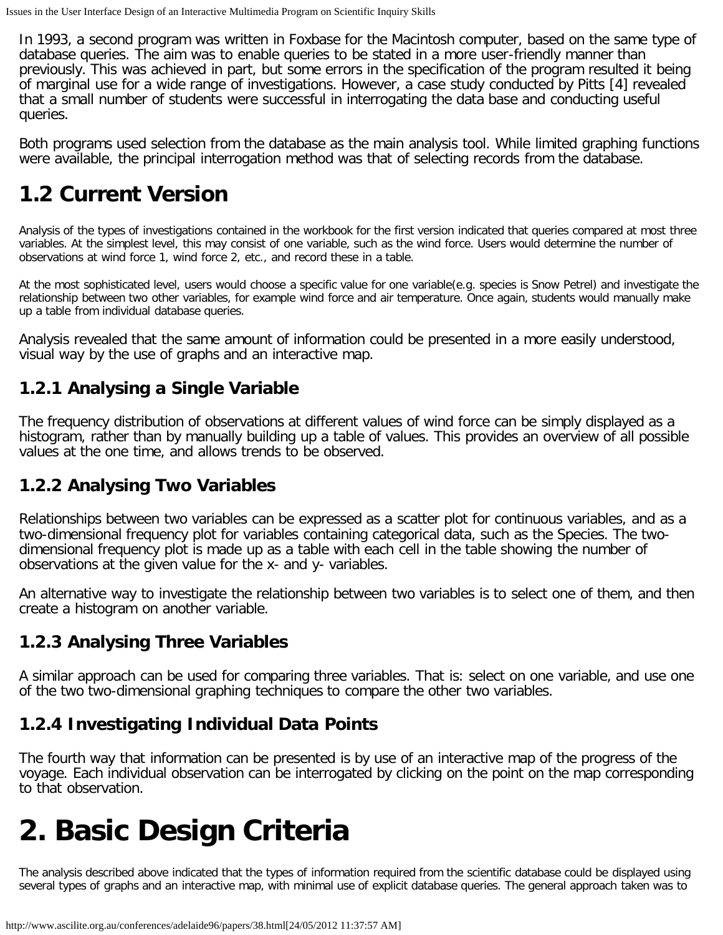In 1993, a second program was written in Foxbase for the Macintosh computer, based on the same type of database queries. The aim was to enable queries to be stated in a more user-friendly manner than previously. This was achieved in part, but some errors in the specification of the program resulted it being of marginal use for a wide range of investigations. However, a case study conducted by Pitts [4] revealed that a small number of students were successful in interrogating the data base and conducting useful queries.

Both programs used selection from the database as the main analysis tool. While limited graphing functions were available, the principal interrogation method was that of selecting records from the database.

## **1.2 Current Version**

Analysis of the types of investigations contained in the workbook for the first version indicated that queries compared at most three variables. At the simplest level, this may consist of one variable, such as the wind force. Users would determine the number of observations at wind force 1, wind force 2, etc., and record these in a table.

At the most sophisticated level, users would choose a specific value for one variable(e.g. species is Snow Petrel) and investigate the relationship between two other variables, for example wind force and air temperature. Once again, students would manually make up a table from individual database queries.

Analysis revealed that the same amount of information could be presented in a more easily understood, visual way by the use of graphs and an interactive map.

### **1.2.1 Analysing a Single Variable**

The frequency distribution of observations at different values of wind force can be simply displayed as a histogram, rather than by manually building up a table of values. This provides an overview of all possible values at the one time, and allows trends to be observed.

#### **1.2.2 Analysing Two Variables**

Relationships between two variables can be expressed as a scatter plot for continuous variables, and as a two-dimensional frequency plot for variables containing categorical data, such as the Species. The twodimensional frequency plot is made up as a table with each cell in the table showing the number of observations at the given value for the x- and y- variables.

An alternative way to investigate the relationship between two variables is to select one of them, and then create a histogram on another variable.

#### **1.2.3 Analysing Three Variables**

A similar approach can be used for comparing three variables. That is: select on one variable, and use one of the two two-dimensional graphing techniques to compare the other two variables.

#### **1.2.4 Investigating Individual Data Points**

The fourth way that information can be presented is by use of an interactive map of the progress of the voyage. Each individual observation can be interrogated by clicking on the point on the map corresponding to that observation.

# **2. Basic Design Criteria**

The analysis described above indicated that the types of information required from the scientific database could be displayed using several types of graphs and an interactive map, with minimal use of explicit database queries. The general approach taken was to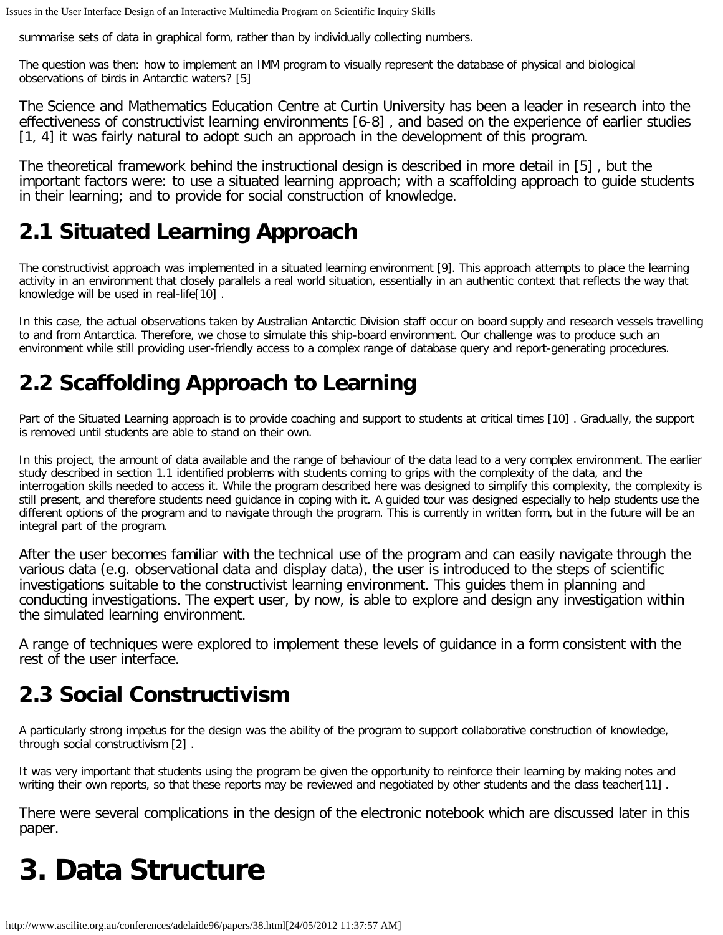summarise sets of data in graphical form, rather than by individually collecting numbers.

The question was then: how to implement an IMM program to visually represent the database of physical and biological observations of birds in Antarctic waters? [5]

The Science and Mathematics Education Centre at Curtin University has been a leader in research into the effectiveness of constructivist learning environments [6-8] , and based on the experience of earlier studies [1, 4] it was fairly natural to adopt such an approach in the development of this program.

The theoretical framework behind the instructional design is described in more detail in [5] , but the important factors were: to use a situated learning approach; with a scaffolding approach to guide students in their learning; and to provide for social construction of knowledge.

### **2.1 Situated Learning Approach**

The constructivist approach was implemented in a situated learning environment [9]. This approach attempts to place the learning activity in an environment that closely parallels a real world situation, essentially in an authentic context that reflects the way that knowledge will be used in real-life[10] .

In this case, the actual observations taken by Australian Antarctic Division staff occur on board supply and research vessels travelling to and from Antarctica. Therefore, we chose to simulate this ship-board environment. Our challenge was to produce such an environment while still providing user-friendly access to a complex range of database query and report-generating procedures.

## **2.2 Scaffolding Approach to Learning**

Part of the Situated Learning approach is to provide coaching and support to students at critical times [10] . Gradually, the support is removed until students are able to stand on their own.

In this project, the amount of data available and the range of behaviour of the data lead to a very complex environment. The earlier study described in section 1.1 identified problems with students coming to grips with the complexity of the data, and the interrogation skills needed to access it. While the program described here was designed to simplify this complexity, the complexity is still present, and therefore students need guidance in coping with it. A guided tour was designed especially to help students use the different options of the program and to navigate through the program. This is currently in written form, but in the future will be an integral part of the program.

After the user becomes familiar with the technical use of the program and can easily navigate through the various data (e.g. observational data and display data), the user is introduced to the steps of scientific investigations suitable to the constructivist learning environment. This guides them in planning and conducting investigations. The expert user, by now, is able to explore and design any investigation within the simulated learning environment.

A range of techniques were explored to implement these levels of guidance in a form consistent with the rest of the user interface.

## **2.3 Social Constructivism**

A particularly strong impetus for the design was the ability of the program to support collaborative construction of knowledge, through social constructivism [2] .

It was very important that students using the program be given the opportunity to reinforce their learning by making notes and writing their own reports, so that these reports may be reviewed and negotiated by other students and the class teacher[11] .

There were several complications in the design of the electronic notebook which are discussed later in this paper.

# **3. Data Structure**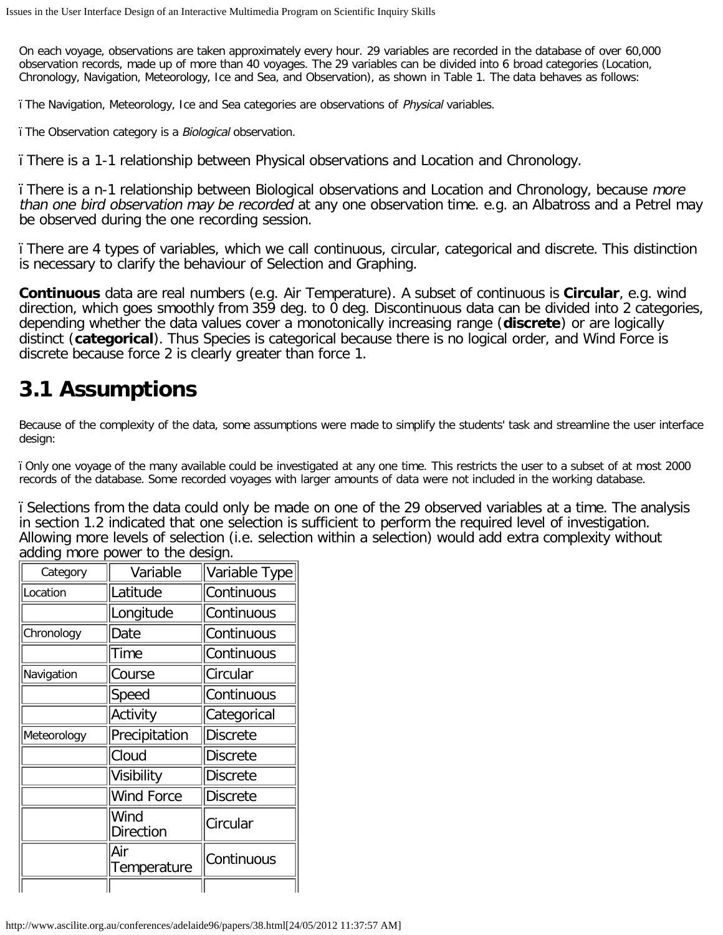On each voyage, observations are taken approximately every hour. 29 variables are recorded in the database of over 60,000 observation records, made up of more than 40 voyages. The 29 variables can be divided into 6 broad categories (Location, Chronology, Navigation, Meteorology, Ice and Sea, and Observation), as shown in Table 1. The data behaves as follows:

ï The Navigation, Meteorology, Ice and Sea categories are observations of Physical variables.

ï The Observation category is a Biological observation.

ï There is a 1-1 relationship between Physical observations and Location and Chronology.

ï There is a n-1 relationship between Biological observations and Location and Chronology, because more than one bird observation may be recorded at any one observation time. e.g. an Albatross and a Petrel may be observed during the one recording session.

ï There are 4 types of variables, which we call continuous, circular, categorical and discrete. This distinction is necessary to clarify the behaviour of Selection and Graphing.

**Continuous** data are real numbers (e.g. Air Temperature). A subset of continuous is **Circular**, e.g. wind direction, which goes smoothly from 359 deg. to 0 deg. Discontinuous data can be divided into 2 categories, depending whether the data values cover a monotonically increasing range (**discrete**) or are logically distinct (**categorical**). Thus Species is categorical because there is no logical order, and Wind Force is discrete because force 2 is clearly greater than force 1.

## **3.1 Assumptions**

Because of the complexity of the data, some assumptions were made to simplify the students' task and streamline the user interface design:

ï Only one voyage of the many available could be investigated at any one time. This restricts the user to a subset of at most 2000 records of the database. Some recorded voyages with larger amounts of data were not included in the working database.

ï Selections from the data could only be made on one of the 29 observed variables at a time. The analysis in section 1.2 indicated that one selection is sufficient to perform the required level of investigation. Allowing more levels of selection (i.e. selection within a selection) would add extra complexity without adding more power to the design.

| Category    | Variable           | Variable Type   |
|-------------|--------------------|-----------------|
| Location    | Latitude           | Continuous      |
|             | Longitude          | Continuous      |
| Chronology  | Date               | Continuous      |
|             | Time               | Continuous      |
| Navigation  | Course             | Circular        |
|             | Speed              | Continuous      |
|             | Activity           | Categorical     |
| Meteorology | Precipitation      | <b>Discrete</b> |
|             | Cloud              | <b>Discrete</b> |
|             | Visibility         | Discrete        |
|             | Wind Force         | <b>Discrete</b> |
|             | Wind<br>Direction  | Circular        |
|             | Air<br>Temperature | Continuous      |
|             |                    |                 |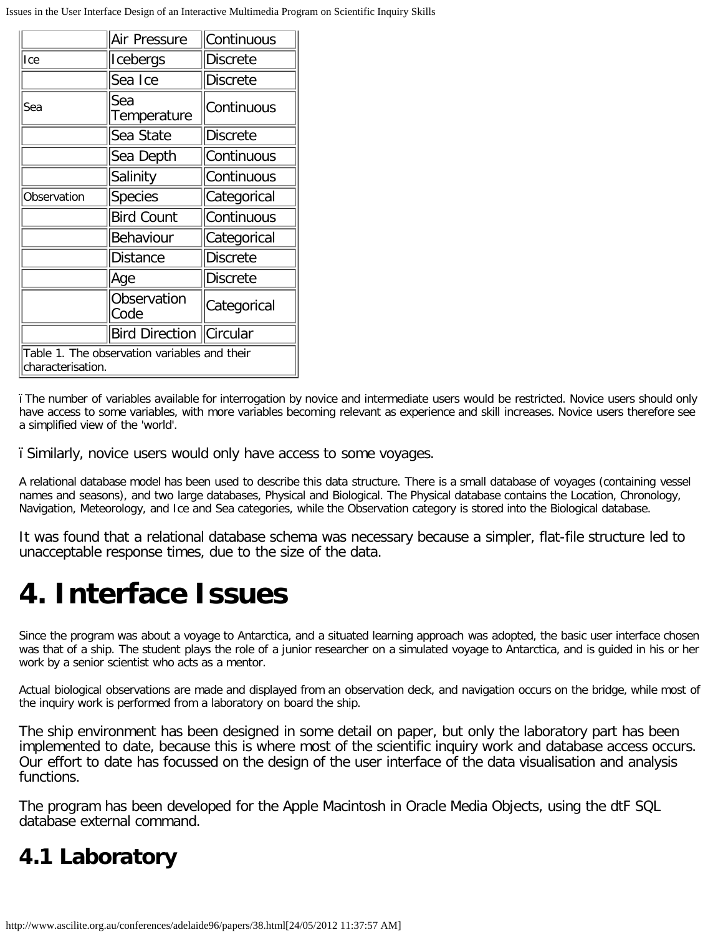|                                                                   | Air Pressure              | Continuous      |  |
|-------------------------------------------------------------------|---------------------------|-----------------|--|
| Ice                                                               | Icebergs                  | Discrete        |  |
|                                                                   | Sea Ice                   | Discrete        |  |
| Sea                                                               | Sea<br>Temperature        | Continuous      |  |
|                                                                   | Sea State                 | Discrete        |  |
|                                                                   | Sea Depth                 | Continuous      |  |
|                                                                   | Salinity                  | Continuous      |  |
| Observation                                                       | <b>Species</b>            | Categorical     |  |
|                                                                   | <b>Bird Count</b>         | Continuous      |  |
|                                                                   | Behaviour                 | Categorical     |  |
|                                                                   | Distance                  | <b>Discrete</b> |  |
|                                                                   | ∣Age                      | <b>Discrete</b> |  |
|                                                                   | Observation<br>Code       | Categorical     |  |
|                                                                   | Bird Direction   Circular |                 |  |
| Table 1. The observation variables and their<br>characterisation. |                           |                 |  |

ï The number of variables available for interrogation by novice and intermediate users would be restricted. Novice users should only have access to some variables, with more variables becoming relevant as experience and skill increases. Novice users therefore see a simplified view of the 'world'.

ï Similarly, novice users would only have access to some voyages.

A relational database model has been used to describe this data structure. There is a small database of voyages (containing vessel names and seasons), and two large databases, Physical and Biological. The Physical database contains the Location, Chronology, Navigation, Meteorology, and Ice and Sea categories, while the Observation category is stored into the Biological database.

It was found that a relational database schema was necessary because a simpler, flat-file structure led to unacceptable response times, due to the size of the data.

## **4. Interface Issues**

Since the program was about a voyage to Antarctica, and a situated learning approach was adopted, the basic user interface chosen was that of a ship. The student plays the role of a junior researcher on a simulated voyage to Antarctica, and is guided in his or her work by a senior scientist who acts as a mentor.

Actual biological observations are made and displayed from an observation deck, and navigation occurs on the bridge, while most of the inquiry work is performed from a laboratory on board the ship.

The ship environment has been designed in some detail on paper, but only the laboratory part has been implemented to date, because this is where most of the scientific inquiry work and database access occurs. Our effort to date has focussed on the design of the user interface of the data visualisation and analysis functions.

The program has been developed for the Apple Macintosh in Oracle Media Objects, using the dtF SQL database external command.

### **4.1 Laboratory**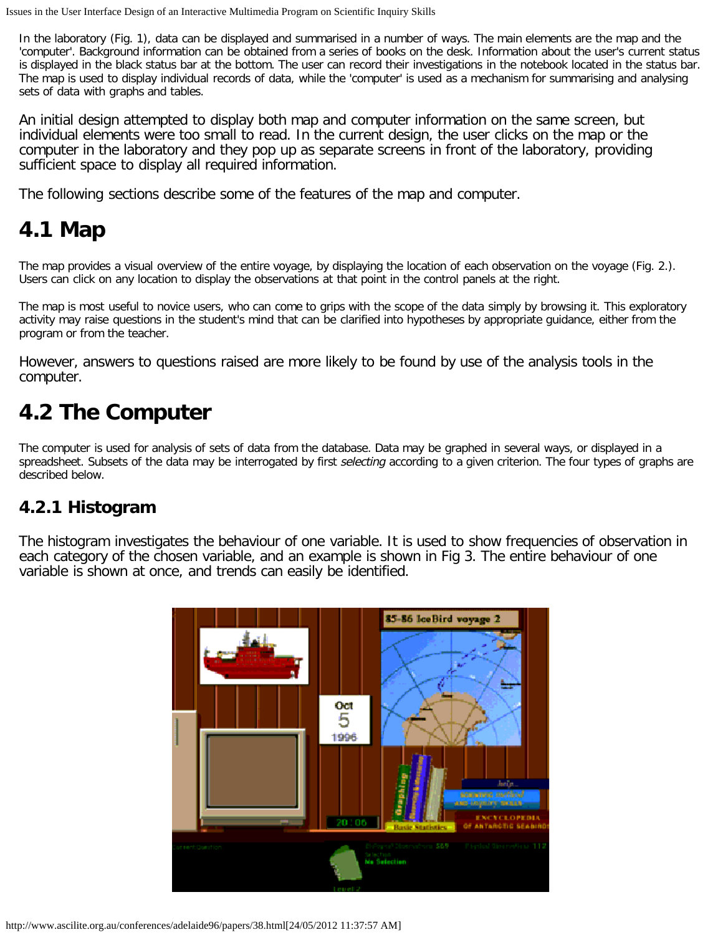In the laboratory (Fig. 1), data can be displayed and summarised in a number of ways. The main elements are the map and the 'computer'. Background information can be obtained from a series of books on the desk. Information about the user's current status is displayed in the black status bar at the bottom. The user can record their investigations in the notebook located in the status bar. The map is used to display individual records of data, while the 'computer' is used as a mechanism for summarising and analysing sets of data with graphs and tables.

An initial design attempted to display both map and computer information on the same screen, but individual elements were too small to read. In the current design, the user clicks on the map or the computer in the laboratory and they pop up as separate screens in front of the laboratory, providing sufficient space to display all required information.

The following sections describe some of the features of the map and computer.

## **4.1 Map**

The map provides a visual overview of the entire voyage, by displaying the location of each observation on the voyage (Fig. 2.). Users can click on any location to display the observations at that point in the control panels at the right.

The map is most useful to novice users, who can come to grips with the scope of the data simply by browsing it. This exploratory activity may raise questions in the student's mind that can be clarified into hypotheses by appropriate guidance, either from the program or from the teacher.

However, answers to questions raised are more likely to be found by use of the analysis tools in the computer.

## **4.2 The Computer**

The computer is used for analysis of sets of data from the database. Data may be graphed in several ways, or displayed in a spreadsheet. Subsets of the data may be interrogated by first selecting according to a given criterion. The four types of graphs are described below.

#### **4.2.1 Histogram**

The histogram investigates the behaviour of one variable. It is used to show frequencies of observation in each category of the chosen variable, and an example is shown in Fig 3. The entire behaviour of one variable is shown at once, and trends can easily be identified.

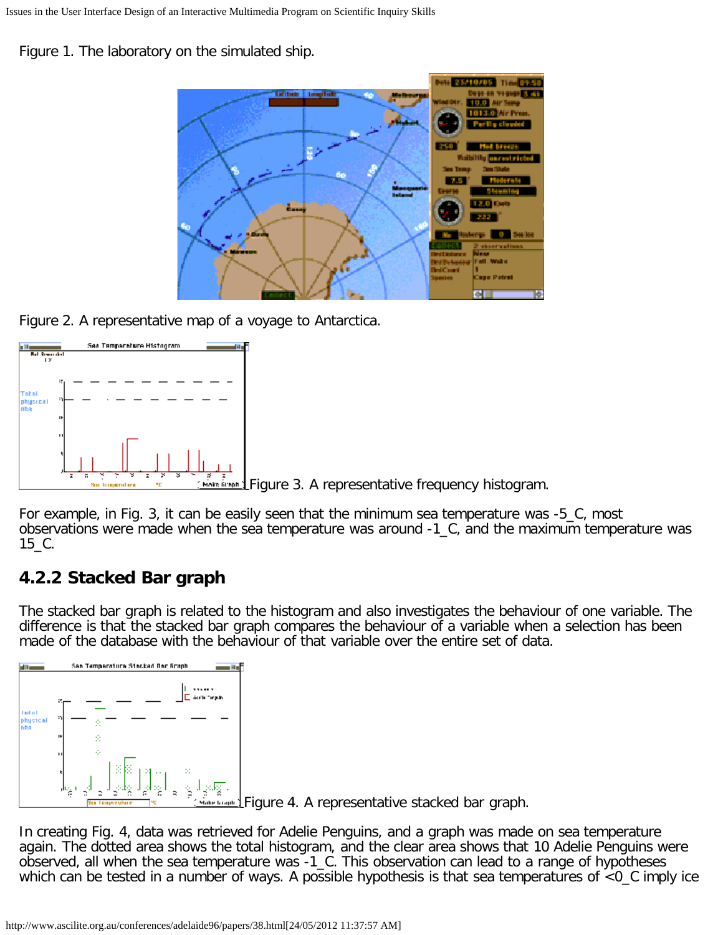Figure 1. The laboratory on the simulated ship.



Figure 2. A representative map of a voyage to Antarctica.



For example, in Fig. 3, it can be easily seen that the minimum sea temperature was -5\_C, most observations were made when the sea temperature was around -1\_C, and the maximum temperature was 15\_C.

### **4.2.2 Stacked Bar graph**

The stacked bar graph is related to the histogram and also investigates the behaviour of one variable. The difference is that the stacked bar graph compares the behaviour of a variable when a selection has been made of the database with the behaviour of that variable over the entire set of data.



In creating Fig. 4, data was retrieved for Adelie Penguins, and a graph was made on sea temperature again. The dotted area shows the total histogram, and the clear area shows that 10 Adelie Penguins were observed, all when the sea temperature was -1\_C. This observation can lead to a range of hypotheses which can be tested in a number of ways. A possible hypothesis is that sea temperatures of <0\_C imply ice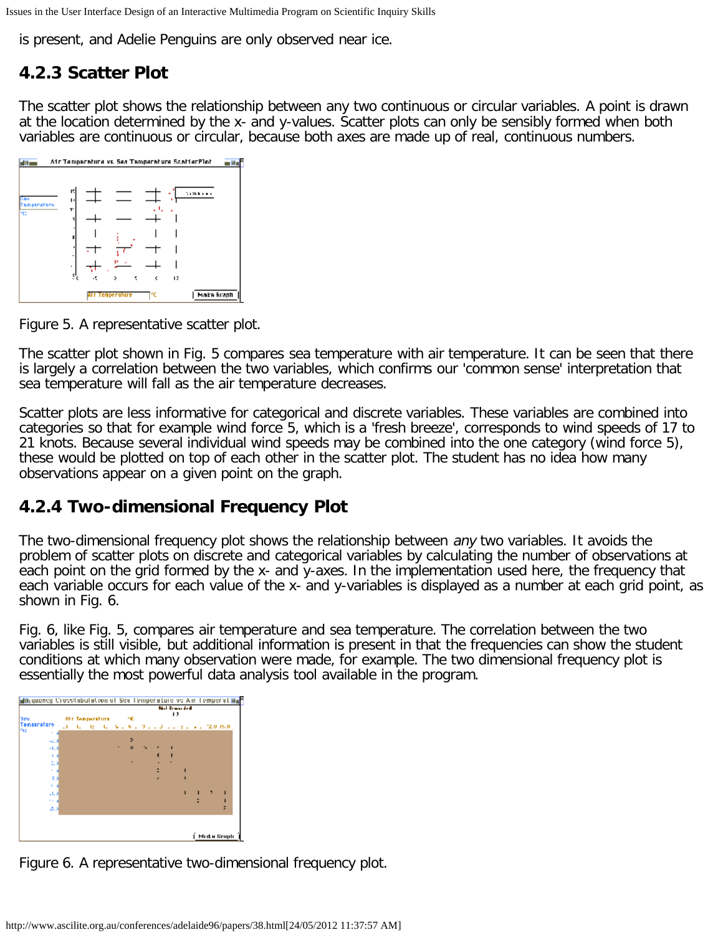is present, and Adelie Penguins are only observed near ice.

#### **4.2.3 Scatter Plot**

The scatter plot shows the relationship between any two continuous or circular variables. A point is drawn at the location determined by the x- and y-values. Scatter plots can only be sensibly formed when both variables are continuous or circular, because both axes are made up of real, continuous numbers.



Figure 5. A representative scatter plot.

The scatter plot shown in Fig. 5 compares sea temperature with air temperature. It can be seen that there is largely a correlation between the two variables, which confirms our 'common sense' interpretation that sea temperature will fall as the air temperature decreases.

Scatter plots are less informative for categorical and discrete variables. These variables are combined into categories so that for example wind force 5, which is a 'fresh breeze', corresponds to wind speeds of 17 to 21 knots. Because several individual wind speeds may be combined into the one category (wind force 5), these would be plotted on top of each other in the scatter plot. The student has no idea how many observations appear on a given point on the graph.

#### **4.2.4 Two-dimensional Frequency Plot**

The two-dimensional frequency plot shows the relationship between *any* two variables. It avoids the problem of scatter plots on discrete and categorical variables by calculating the number of observations at each point on the grid formed by the x- and y-axes. In the implementation used here, the frequency that each variable occurs for each value of the x- and y-variables is displayed as a number at each grid point, as shown in Fig. 6.

Fig. 6, like Fig. 5, compares air temperature and sea temperature. The correlation between the two variables is still visible, but additional information is present in that the frequencies can show the student conditions at which many observation were made, for example. The two dimensional frequency plot is essentially the most powerful data analysis tool available in the program.



Figure 6. A representative two-dimensional frequency plot.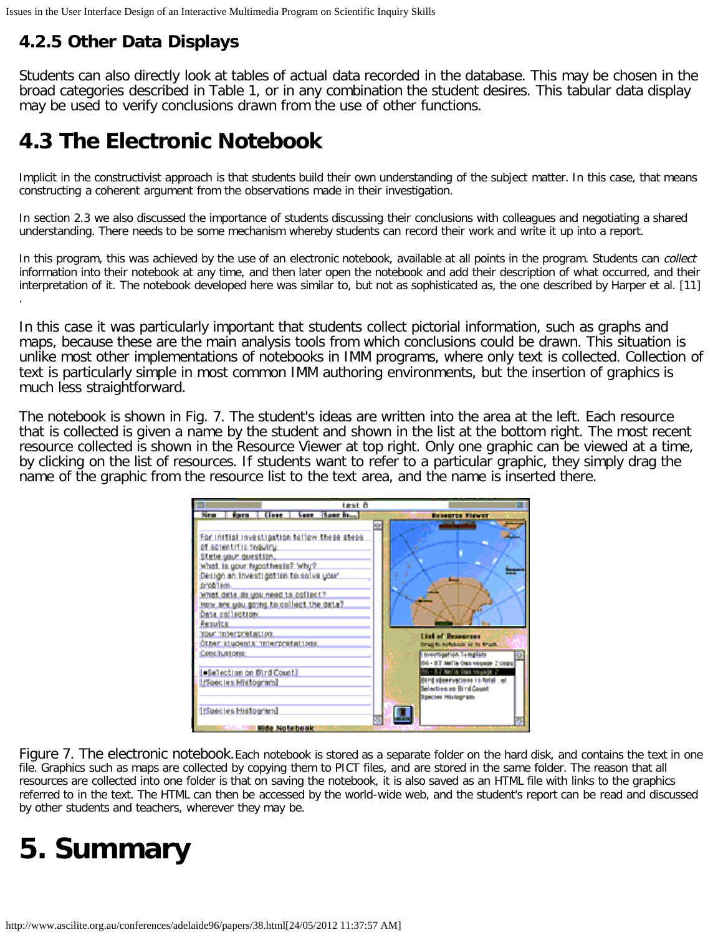#### **4.2.5 Other Data Displays**

Students can also directly look at tables of actual data recorded in the database. This may be chosen in the broad categories described in Table 1, or in any combination the student desires. This tabular data display may be used to verify conclusions drawn from the use of other functions.

## **4.3 The Electronic Notebook**

Implicit in the constructivist approach is that students build their own understanding of the subject matter. In this case, that means constructing a coherent argument from the observations made in their investigation.

In section 2.3 we also discussed the importance of students discussing their conclusions with colleagues and negotiating a shared understanding. There needs to be some mechanism whereby students can record their work and write it up into a report.

In this program, this was achieved by the use of an electronic notebook, available at all points in the program. Students can collect information into their notebook at any time, and then later open the notebook and add their description of what occurred, and their interpretation of it. The notebook developed here was similar to, but not as sophisticated as, the one described by Harper et al. [11] .

In this case it was particularly important that students collect pictorial information, such as graphs and maps, because these are the main analysis tools from which conclusions could be drawn. This situation is unlike most other implementations of notebooks in IMM programs, where only text is collected. Collection of text is particularly simple in most common IMM authoring environments, but the insertion of graphics is much less straightforward.

The notebook is shown in Fig. 7. The student's ideas are written into the area at the left. Each resource that is collected is given a name by the student and shown in the list at the bottom right. The most recent resource collected is shown in the Resource Viewer at top right. Only one graphic can be viewed at a time, by clicking on the list of resources. If students want to refer to a particular graphic, they simply drag the name of the graphic from the resource list to the text area, and the name is inserted there.



Figure 7. The electronic notebook. Each notebook is stored as a separate folder on the hard disk, and contains the text in one file. Graphics such as maps are collected by copying them to PICT files, and are stored in the same folder. The reason that all resources are collected into one folder is that on saving the notebook, it is also saved as an HTML file with links to the graphics referred to in the text. The HTML can then be accessed by the world-wide web, and the student's report can be read and discussed by other students and teachers, wherever they may be.

## **5. Summary**